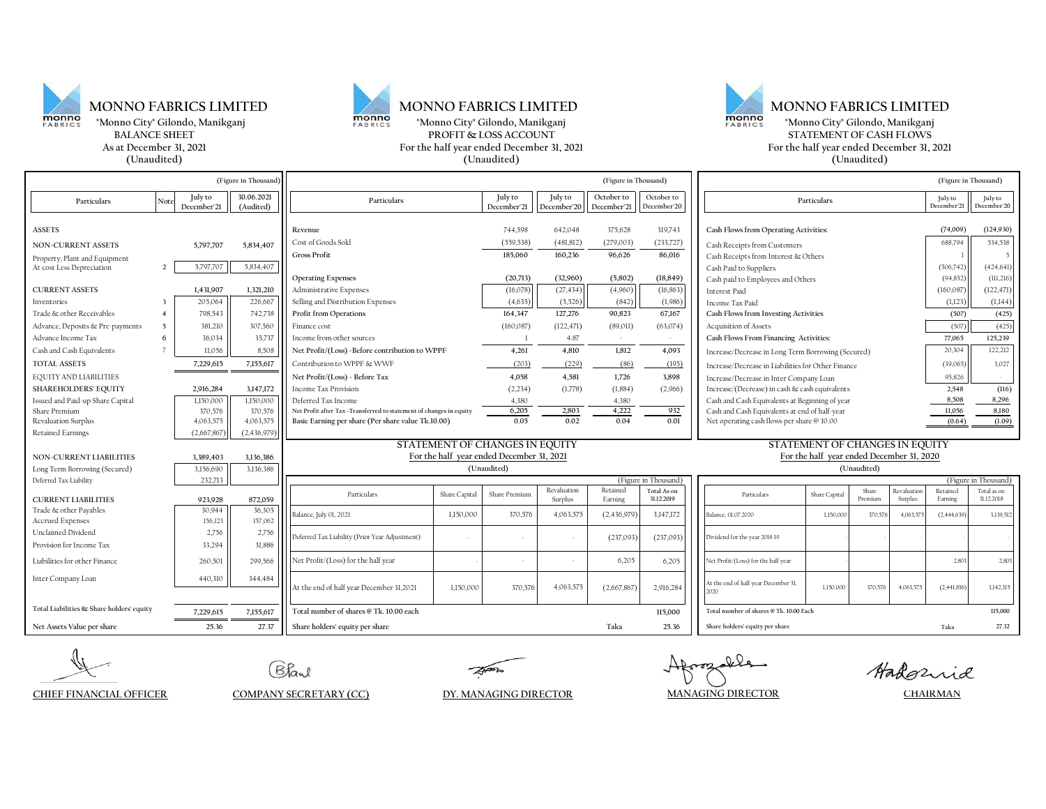

## **MONNO FABRICS LIMITED MONNO FABRICS LIMITED MONNO FABRICS LIMITED**

**(Unaudited) (Unaudited) (Unaudited)**



**As at December 31, 2021 For the half year ended December 31, 2021 For the half year ended December 31, 2021 EXERICS** "Monno City" Gilondo, Manikganj<br> **EXERICS BORTH EXERICS** THESE TURNEY CONS ACCOUNT **EXERICS EXERICS EXERICALLY STATEMENT OF CASH FLOWS BTATEMENT OF CASH FLOWS** 

| (Figure in Thousand)                      |                 |                        | (Figure in Thousand)    |                                                                      |                                           |                        |                        |                           |                           | (Figure in Thousand)                               |               |                  |                        |                        |                           |
|-------------------------------------------|-----------------|------------------------|-------------------------|----------------------------------------------------------------------|-------------------------------------------|------------------------|------------------------|---------------------------|---------------------------|----------------------------------------------------|---------------|------------------|------------------------|------------------------|---------------------------|
| Particulars                               | Note            | July to<br>December'21 | 30.06.2021<br>(Audited) | Particulars                                                          |                                           | July to<br>December'21 | July to<br>December'20 | October to<br>December'21 | October to<br>December'20 | Particulars                                        |               |                  | July to<br>December'21 | July to<br>December'20 |                           |
| <b>ASSETS</b>                             |                 |                        |                         | Revenue                                                              |                                           | 744,598                | 642,048                | 375.628                   | 319,743                   | Cash Flows from Operating Activities:              |               |                  |                        | (74,009)               | (124, 930)                |
| <b>NON-CURRENT ASSETS</b>                 |                 | 5,797,707              | 5,834,407               | Cost of Goods Sold                                                   |                                           | (559, 538)             | (481, 812)             | (279,003)                 | (233,727)                 | Cash Receipts from Customers                       |               |                  |                        | 688,794                | 534,538                   |
| Property, Plant and Equipment             |                 |                        |                         | Gross Profit                                                         |                                           | 185,060                | 160,236                | 96,626                    | 86,016                    | Cash Receipts from Interest & Others               |               |                  |                        |                        | 5                         |
| At cost Less Depreciation                 | $\overline{2}$  | 5,797,707              | 5,834,407               |                                                                      |                                           |                        |                        |                           |                           | Cash Paid to Suppliers                             |               |                  |                        | (506, 742)             | (424, 641)                |
|                                           |                 |                        |                         | <b>Operating Expenses</b>                                            |                                           | (20, 713)              | (32,960)               | (5,802)                   | (18, 849)                 | Cash paid to Employees and Others                  |               |                  |                        | (94, 852)              | (111, 216)                |
| <b>CURRENT ASSETS</b>                     |                 | 1,431,907              | 1,321,210               | Administrative Expenses                                              |                                           | (16,078)               | (27, 434)              | (4,960)                   | (16, 863)                 | Interest Paid                                      |               |                  |                        | (160, 087)             | (122, 471)                |
| Inventories                               |                 | 205,064                | 226,667                 | Selling and Distribution Expenses                                    |                                           | (4,635)                | (5,526)                | (842)                     | (1,986)                   | Income Tax Paid                                    |               |                  | (1,123)                | (1,144)                |                           |
| Trade & other Receivables                 | $\overline{4}$  | 798,543                | 742,738                 | Profit from Operations                                               |                                           | 164,347                | 127,276                | 90,823                    | 67,167                    | Cash Flows from Investing Activities               |               |                  |                        | (507)                  | (425)                     |
| Advance, Deposits & Pre-payments          | $5\overline{ }$ | 381,210                | 307,560                 | Finance cost                                                         |                                           | (160, 087)             | (122, 471)             | (89,011)                  | (63,074)                  | Acquisition of Assets                              |               |                  |                        | (507)                  | (425)                     |
| Advance Income Tax                        | 6               | 36.034                 | 35,737                  | Income from other sources                                            |                                           |                        | 4.87                   |                           |                           | Cash Flows From Financing Activities:              |               |                  |                        | 77,065                 | 125,239                   |
| Cash and Cash Equivalents                 |                 | 11.056                 | 8.508                   | Net Profit/(Loss) - Before contribution to WPPF                      |                                           | 4,261                  | 4.810                  | 1.812                     | 4,093                     | Increase/Decrease in Long Term Borrowing (Secured) |               |                  |                        | 20,304                 | 122,212                   |
| <b>TOTAL ASSETS</b>                       |                 | 7,229,615              | 7,155,617               | Contribution to WPPF & WWF                                           |                                           | (203)                  | (229)                  | (86)                      | (195)                     | Increase/Decrease in Liabilities for Other Finance |               |                  |                        | (39,065)               | 3,027                     |
| <b>EQUITY AND LIABILITIES</b>             |                 |                        |                         | Net Profit/(Loss) - Before Tax                                       |                                           | 4.058                  | 4.581                  | 1.726                     | 3,898                     | Increase/Decrease in Inter Company Loan            |               |                  |                        | 95,826                 |                           |
| <b>SHAREHOLDERS' EQUITY</b>               |                 | 2,916,284              | 3,147,172               | Income Tax Provision                                                 |                                           | (2, 234)               | (1,778)                | (1,884)                   | (2,966)                   | Increase/(Decrease) in cash & cash equivalents     |               |                  |                        | 2,548                  | (116)                     |
| Issued and Paid-up Share Capital          |                 | 1,150,000              | 1,150,000               | Deferred Tax Income                                                  |                                           | 4,380                  |                        | 4,380                     |                           | Cash and Cash Equivalents at Beginning of year     |               |                  |                        | 8,508                  | 8,296                     |
| Share Premium                             |                 | 370,576                | 370,576                 | Net Profit after Tax - Transferred to statement of changes in equity |                                           | 6,205                  | 2,803                  | 4,222                     | 932                       | Cash and Cash Equivalents at end of half-year      |               |                  | 11,056                 | 8,180                  |                           |
| Revaluation Surplus                       |                 | 4,063,575              | 4,063,575               | Basic Earning per share (Per share value Tk.10.00)                   |                                           | 0.05                   | 0.02                   | 0.04                      | 0.01                      | Net operating cash flows per share @ 10.00         |               |                  |                        | (0.64)                 | (1.09)                    |
| Retained Earnings                         |                 | (2,667,867)            | (2,436,979)             |                                                                      |                                           |                        |                        |                           |                           |                                                    |               |                  |                        |                        |                           |
|                                           |                 |                        |                         | STATEMENT OF CHANGES IN EQUITY                                       |                                           |                        |                        |                           |                           | STATEMENT OF CHANGES IN EOUITY                     |               |                  |                        |                        |                           |
| <b>NON-CURRENT LIABILITIES</b>            |                 | 3,389,403              | 3,136,386               |                                                                      | For the half year ended December 31, 2021 |                        |                        |                           |                           | For the half year ended December 31, 2020          |               |                  |                        |                        |                           |
| Long Term Borrowing (Secured)             |                 | 3,156,690              | 3,136,386               | (Unaudited)                                                          |                                           |                        |                        |                           |                           | (Unaudited)                                        |               |                  |                        |                        |                           |
| Deferred Tax Liability                    |                 | 232,713                |                         | (Figure in Thousand)                                                 |                                           |                        |                        |                           |                           |                                                    |               |                  | (Figure in Thousand)   |                        |                           |
| <b>CURRENT LIABILITIES</b>                |                 | 923,928                | 872,059                 | Particulars                                                          | Share Capital                             | Share Premium          | Revaluation<br>Surplus | Retained<br>Earning       | Total As on<br>31.12.2019 | Particulars                                        | Share Capital | Share<br>Premium | Revaluation<br>Surplus | Retained<br>Earning    | Total as on<br>31.12.2018 |
| Trade & other Payables                    |                 | 30,944                 | 36,305                  |                                                                      |                                           |                        |                        |                           |                           |                                                    |               |                  |                        |                        |                           |
| Accrued Expenses                          |                 | 156,123                | 157,062                 | Balance, July 01, 2021                                               | 1,150,000                                 | 370,576                | 4,063,575              | (2,436,979)               | 3,147,172                 | Balance, 01.07.2020                                | 1,150,000     | 370,576          | 4,063,57               | (2,444,639)            | 3,139,512                 |
| Unclaimed Dividend                        |                 | 2,756                  | 2,756                   | Deferred Tax Liability (Prior Year Adjustment)                       |                                           |                        |                        |                           | (237,093)                 | Dividend for the year 2018-19                      |               |                  |                        |                        |                           |
| Provision for Income Tax                  |                 | 33,294                 | 31,886                  |                                                                      |                                           |                        |                        | (237,093)                 |                           |                                                    |               |                  |                        |                        |                           |
| Liabilities for other Finance             |                 | 260,501                | 299,566                 | Net Profit/(Loss) for the half year                                  |                                           |                        |                        | 6.205                     | 6.205                     | Net Profit/(Loss) for the half year                |               |                  |                        | 2,80                   | 2,803                     |
| Inter Company Loan                        |                 | 440,310                | 344,484                 |                                                                      |                                           |                        |                        |                           |                           |                                                    |               |                  |                        |                        |                           |
|                                           |                 |                        |                         | At the end of half year December 31,2021                             | 1,150,000                                 | 370,576                | 4,063,575              | (2,667,867)               | 2,916,284                 | At the end of half year December 31.<br>2020       | 1,150,000     | 370,576          | 4,063,575              | (2,441,836)            | 3.142.315                 |
| Total Liabilities & Share holders' equity |                 | 7,229,615              | 7,155,617               | Total number of shares @ Tk. 10.00 each                              |                                           |                        |                        |                           | 115,000                   | Total number of shares @ Tk, 10,00 Each            |               |                  |                        |                        | 115,000                   |
| Net Assets Value per share                |                 | 25.36                  | 27.37                   | Share holders' equity per share                                      |                                           |                        |                        | Taka                      | 25.36                     | Share holders' equity per share                    |               |                  |                        | Taka                   | 27.32                     |

Bland

**MANAGING DIRECTOR CHAIRMAN**

Hadornia

**CHIEF FINANCIAL OFFICER COMPANY SECRETARY (CC) DY. MANAGING DIRECTOR**